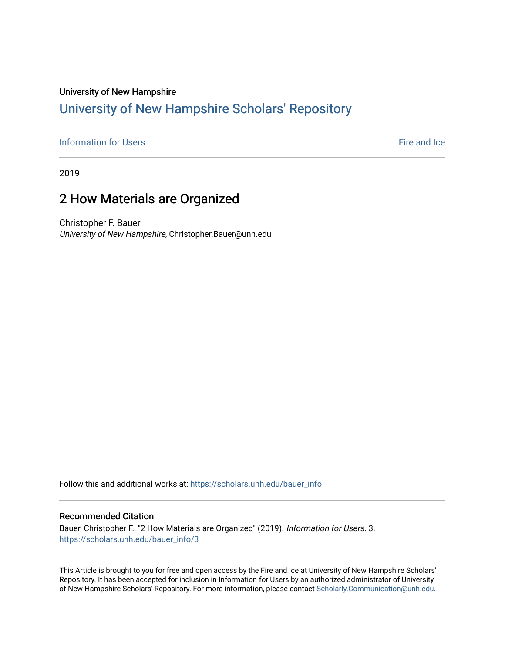#### University of New Hampshire

## [University of New Hampshire Scholars' Repository](https://scholars.unh.edu/)

### **[Information for Users](https://scholars.unh.edu/bauer_info)** Fire and Ice

2019

# 2 How Materials are Organized

Christopher F. Bauer University of New Hampshire, Christopher.Bauer@unh.edu

Follow this and additional works at: [https://scholars.unh.edu/bauer\\_info](https://scholars.unh.edu/bauer_info?utm_source=scholars.unh.edu%2Fbauer_info%2F3&utm_medium=PDF&utm_campaign=PDFCoverPages) 

#### Recommended Citation

Bauer, Christopher F., "2 How Materials are Organized" (2019). Information for Users. 3. [https://scholars.unh.edu/bauer\\_info/3](https://scholars.unh.edu/bauer_info/3?utm_source=scholars.unh.edu%2Fbauer_info%2F3&utm_medium=PDF&utm_campaign=PDFCoverPages)

This Article is brought to you for free and open access by the Fire and Ice at University of New Hampshire Scholars' Repository. It has been accepted for inclusion in Information for Users by an authorized administrator of University of New Hampshire Scholars' Repository. For more information, please contact [Scholarly.Communication@unh.edu](mailto:Scholarly.Communication@unh.edu).